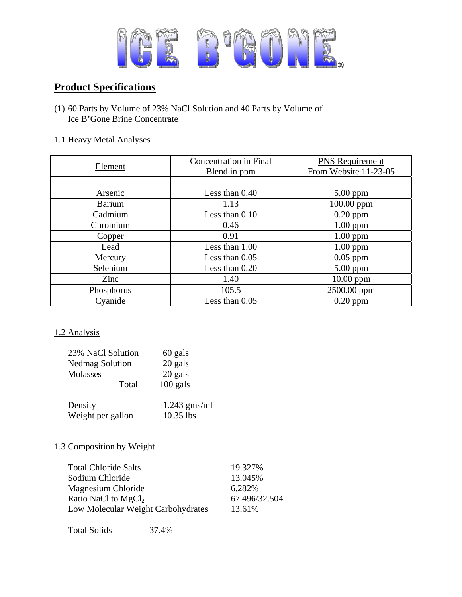

# **Product Specifications**

(1) 60 Parts by Volume of 23% NaCl Solution and 40 Parts by Volume of Ice B'Gone Brine Concentrate

### 1.1 Heavy Metal Analyses

|               | <b>Concentration</b> in Final         | <b>PNS</b> Requirement |  |
|---------------|---------------------------------------|------------------------|--|
| Element       | From Website 11-23-05<br>Blend in ppm |                        |  |
|               |                                       |                        |  |
| Arsenic       | Less than 0.40                        | $5.00$ ppm             |  |
| <b>Barium</b> | $100.00$ ppm<br>1.13                  |                        |  |
| Cadmium       | Less than 0.10<br>$0.20$ ppm          |                        |  |
| Chromium      | $1.00$ ppm<br>0.46                    |                        |  |
| Copper        | 0.91<br>$1.00$ ppm                    |                        |  |
| Lead          | Less than 1.00<br>$1.00$ ppm          |                        |  |
| Mercury       | Less than $0.05$<br>$0.05$ ppm        |                        |  |
| Selenium      | Less than 0.20<br>$5.00$ ppm          |                        |  |
| Zinc          | 1.40                                  | $10.00$ ppm            |  |
| Phosphorus    | 105.5                                 | 2500.00 ppm            |  |
| Cyanide       | Less than 0.05                        | $0.20$ ppm             |  |

## 1.2 Analysis

| 23% NaCl Solution      | 60 gals        |  |
|------------------------|----------------|--|
| <b>Nedmag Solution</b> | 20 gals        |  |
| Molasses               | 20 gals        |  |
| Total                  | $100$ gals     |  |
|                        |                |  |
| Density                | $1.243$ gms/ml |  |
| Weight per gallon      | $10.35$ lbs    |  |

### 1.3 Composition by Weight

| <b>Total Chloride Salts</b>        | 19.327%       |
|------------------------------------|---------------|
| Sodium Chloride                    | 13.045%       |
| Magnesium Chloride                 | 6.282%        |
| Ratio NaCl to $MgCl2$              | 67.496/32.504 |
| Low Molecular Weight Carbohydrates | 13.61%        |

Total Solids 37.4%